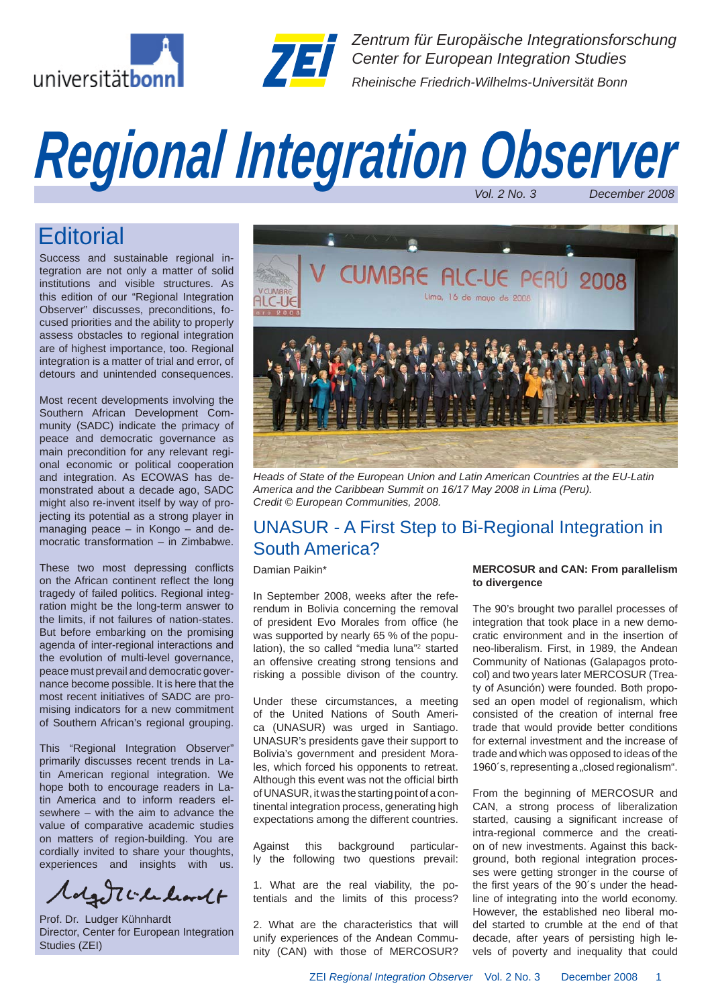



*Zentrum für Europäische Integrationsforschung Center for European Integration Studies Rheinische Friedrich-Wilhelms-Universität Bonn*

# *Vol. 2 No. 3 December 2008 Regional Integration Observer*

## **Editorial**

Success and sustainable regional integration are not only a matter of solid institutions and visible structures. As this edition of our "Regional Integration Observer" discusses, preconditions, focused priorities and the ability to properly assess obstacles to regional integration are of highest importance, too. Regional integration is a matter of trial and error, of detours and unintended consequences.

Most recent developments involving the Southern African Development Community (SADC) indicate the primacy of peace and democratic governance as main precondition for any relevant regional economic or political cooperation and integration. As ECOWAS has demonstrated about a decade ago, SADC might also re-invent itself by way of projecting its potential as a strong player in managing peace – in Kongo – and democratic transformation – in Zimbabwe.

These two most depressing conflicts on the African continent reflect the long tragedy of failed politics. Regional integration might be the long-term answer to the limits, if not failures of nation-states. But before embarking on the promising agenda of inter-regional interactions and the evolution of multi-level governance, peace must prevail and democratic governance become possible. It is here that the most recent initiatives of SADC are promising indicators for a new commitment of Southern African's regional grouping.

This "Regional Integration Observer" primarily discusses recent trends in Latin American regional integration. We hope both to encourage readers in Latin America and to inform readers elsewhere – with the aim to advance the value of comparative academic studies on matters of region-building. You are cordially invited to share your thoughts, experiences and insights with us.

Colgetti le learnt

Prof. Dr. Ludger Kühnhardt Director, Center for European Integration Studies (ZEI)



*Heads of State of the European Union and Latin American Countries at the EU-Latin America and the Caribbean Summit on 16/17 May 2008 in Lima (Peru). Credit © European Communities, 2008.*

## UNASUR - A First Step to Bi-Regional Integration in South America?

Damian Paikin\*

In September 2008, weeks after the referendum in Bolivia concerning the removal of president Evo Morales from office (he was supported by nearly 65 % of the population), the so called "media luna"2 started an offensive creating strong tensions and risking a possible divison of the country.

Under these circumstances, a meeting of the United Nations of South America (UNASUR) was urged in Santiago. UNASUR's presidents gave their support to Bolivia's government and president Morales, which forced his opponents to retreat. Although this event was not the official birth of UNASUR, it was the starting point of a continental integration process, generating high expectations among the different countries.

Against this background particularly the following two questions prevail:

1. What are the real viability, the potentials and the limits of this process?

2. What are the characteristics that will unify experiences of the Andean Community (CAN) with those of MERCOSUR?

#### **MERCOSUR and CAN: From parallelism to divergence**

The 90's brought two parallel processes of integration that took place in a new democratic environment and in the insertion of neo-liberalism. First, in 1989, the Andean Community of Nationas (Galapagos protocol) and two years later MERCOSUR (Treaty of Asunción) were founded. Both proposed an open model of regionalism, which consisted of the creation of internal free trade that would provide better conditions for external investment and the increase of trade and which was opposed to ideas of the 1960's, representing a "closed regionalism".

From the beginning of MERCOSUR and CAN, a strong process of liberalization started, causing a significant increase of intra-regional commerce and the creation of new investments. Against this background, both regional integration processes were getting stronger in the course of the first years of the 90's under the headline of integrating into the world economy. However, the established neo liberal model started to crumble at the end of that decade, after years of persisting high levels of poverty and inequality that could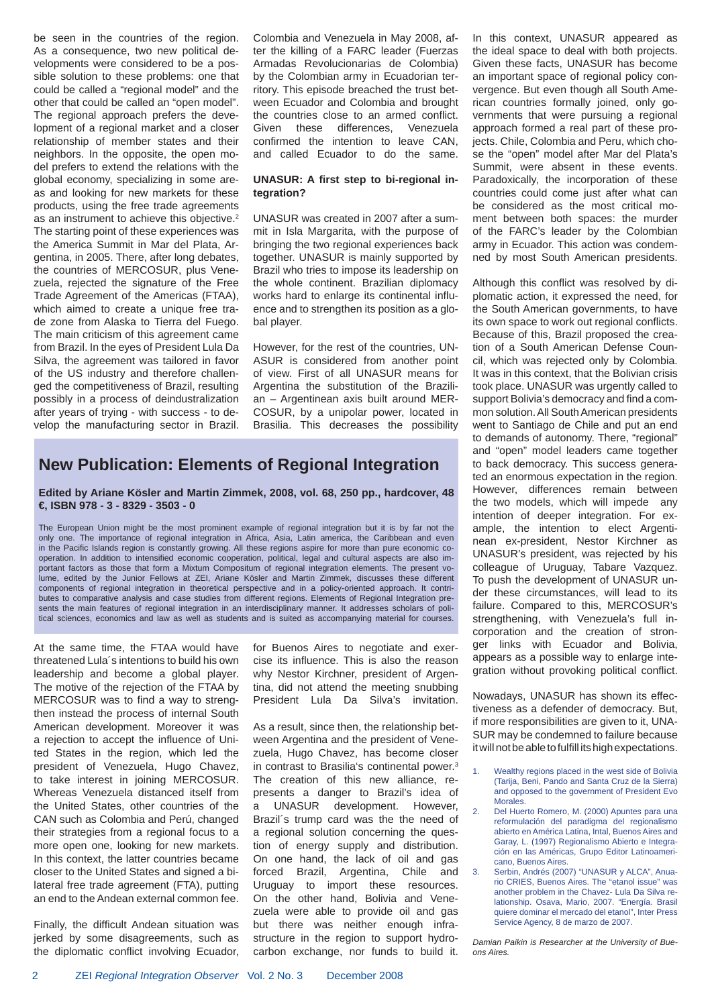be seen in the countries of the region. As a consequence, two new political developments were considered to be a possible solution to these problems: one that could be called a "regional model" and the other that could be called an "open model". The regional approach prefers the development of a regional market and a closer relationship of member states and their neighbors. In the opposite, the open model prefers to extend the relations with the global economy, specializing in some areas and looking for new markets for these products, using the free trade agreements as an instrument to achieve this objective.<sup>2</sup> The starting point of these experiences was the America Summit in Mar del Plata, Argentina, in 2005. There, after long debates, the countries of MERCOSUR, plus Venezuela, rejected the signature of the Free Trade Agreement of the Americas (FTAA), which aimed to create a unique free trade zone from Alaska to Tierra del Fuego. The main criticism of this agreement came from Brazil. In the eyes of President Lula Da Silva, the agreement was tailored in favor of the US industry and therefore challenged the competitiveness of Brazil, resulting possibly in a process of deindustralization after years of trying - with success - to develop the manufacturing sector in Brazil. Colombia and Venezuela in May 2008, after the killing of a FARC leader (Fuerzas Armadas Revolucionarias de Colombia) by the Colombian army in Ecuadorian territory. This episode breached the trust between Ecuador and Colombia and brought the countries close to an armed conflict. Given these differences, Venezuela confirmed the intention to leave CAN, and called Ecuador to do the same.

#### **UNASUR:** A first step to bi-regional in**tegration?**

UNASUR was created in 2007 after a summit in Isla Margarita, with the purpose of bringing the two regional experiences back together. UNASUR is mainly supported by Brazil who tries to impose its leadership on the whole continent. Brazilian diplomacy works hard to enlarge its continental influence and to strengthen its position as a global player.

However, for the rest of the countries, UN-ASUR is considered from another point of view. First of all UNASUR means for Argentina the substitution of the Brazilian – Argentinean axis built around MER-COSUR, by a unipolar power, located in Brasilia. This decreases the possibility

## **New Publication: Elements of Regional Integration**

**Edited by Ariane Kösler and Martin Zimmek, 2008, vol. 68, 250 pp., hardcover, 48 €, ISBN 978 - 3 - 8329 - 3503 - 0**

The European Union might be the most prominent example of regional integration but it is by far not the only one. The importance of regional integration in Africa, Asia, Latin america, the Caribbean and even in the Pacific Islands region is constantly growing. All these regions aspire for more than pure economic cooperation. In addition to intensified economic cooperation, political, legal and cultural aspects are also important factors as those that form a Mixtum Compositum of regional integration elements. The present volume, edited by the Junior Fellows at ZEI, Ariane Kösler and Martin Zimmek, discusses these different components of regional integration in theoretical perspective and in a policy-oriented approach. It contributes to comparative analysis and case studies from different regions. Elements of Regional Integration presents the main features of regional integration in an interdisciplinary manner. It addresses scholars of political sciences, economics and law as well as students and is suited as accompanying material for courses.

At the same time, the FTAA would have threatened Lula´s intentions to build his own leadership and become a global player. The motive of the rejection of the FTAA by MERCOSUR was to find a way to strengthen instead the process of internal South American development. Moreover it was a rejection to accept the influence of United States in the region, which led the president of Venezuela, Hugo Chavez, to take interest in joining MERCOSUR. Whereas Venezuela distanced itself from the United States, other countries of the CAN such as Colombia and Perú, changed their strategies from a regional focus to a more open one, looking for new markets. In this context, the latter countries became closer to the United States and signed a bilateral free trade agreement (FTA), putting an end to the Andean external common fee.

Finally, the difficult Andean situation was jerked by some disagreements, such as the diplomatic conflict involving Ecuador, for Buenos Aires to negotiate and exercise its influence. This is also the reason why Nestor Kirchner, president of Argentina, did not attend the meeting snubbing President Lula Da Silva's invitation.

As a result, since then, the relationship between Argentina and the president of Venezuela, Hugo Chavez, has become closer in contrast to Brasilia's continental power.3 The creation of this new alliance, represents a danger to Brazil's idea of a UNASUR development. However, Brazil´s trump card was the the need of a regional solution concerning the question of energy supply and distribution. On one hand, the lack of oil and gas forced Brazil, Argentina, Chile and Uruguay to import these resources. On the other hand, Bolivia and Venezuela were able to provide oil and gas but there was neither enough infrastructure in the region to support hydrocarbon exchange, nor funds to build it. In this context, UNASUR appeared as the ideal space to deal with both projects. Given these facts, UNASUR has become an important space of regional policy convergence. But even though all South American countries formally joined, only governments that were pursuing a regional approach formed a real part of these projects. Chile, Colombia and Peru, which chose the "open" model after Mar del Plata's Summit, were absent in these events. Paradoxically, the incorporation of these countries could come just after what can be considered as the most critical moment between both spaces: the murder of the FARC's leader by the Colombian army in Ecuador. This action was condemned by most South American presidents.

Although this conflict was resolved by diplomatic action, it expressed the need, for the South American governments, to have its own space to work out regional conflicts. Because of this, Brazil proposed the creation of a South American Defense Council, which was rejected only by Colombia. It was in this context, that the Bolivian crisis took place. UNASUR was urgently called to support Bolivia's democracy and find a common solution. All South American presidents went to Santiago de Chile and put an end to demands of autonomy. There, "regional" and "open" model leaders came together to back democracy. This success generated an enormous expectation in the region. However, differences remain between the two models, which will impede any intention of deeper integration. For example, the intention to elect Argentinean ex-president, Nestor Kirchner as UNASUR's president, was rejected by his colleague of Uruguay, Tabare Vazquez. To push the development of UNASUR under these circumstances, will lead to its failure. Compared to this, MERCOSUR's strengthening, with Venezuela's full incorporation and the creation of stronger links with Ecuador and Bolivia, appears as a possible way to enlarge integration without provoking political conflict.

Nowadays, UNASUR has shown its effectiveness as a defender of democracy. But, if more responsibilities are given to it, UNA-SUR may be condemned to failure because it will not be able to fulfill its high expectations.

- Wealthy regions placed in the west side of Bolivia (Tarija, Beni, Pando and Santa Cruz de la Sierra) and opposed to the government of President Evo Morales.
- 2. Del Huerto Romero, M. (2000) Apuntes para una reformulación del paradigma del regionalismo abierto en América Latina, Intal, Buenos Aires and Garay, L. (1997) Regionalismo Abierto e Integración en las Américas, Grupo Editor Latinoamericano, Buenos Aires.
- 3. Serbin, Andrés (2007) "UNASUR y ALCA", Anuario CRIES, Buenos Aires. The "etanol issue" was another problem in the Chavez- Lula Da Silva relationship. Osava, Mario, 2007. "Energía. Brasil quiere dominar el mercado del etanol", Inter Press Service Agency, 8 de marzo de 2007.

*Damian Paikin is Researcher at the University of Bueons Aires.*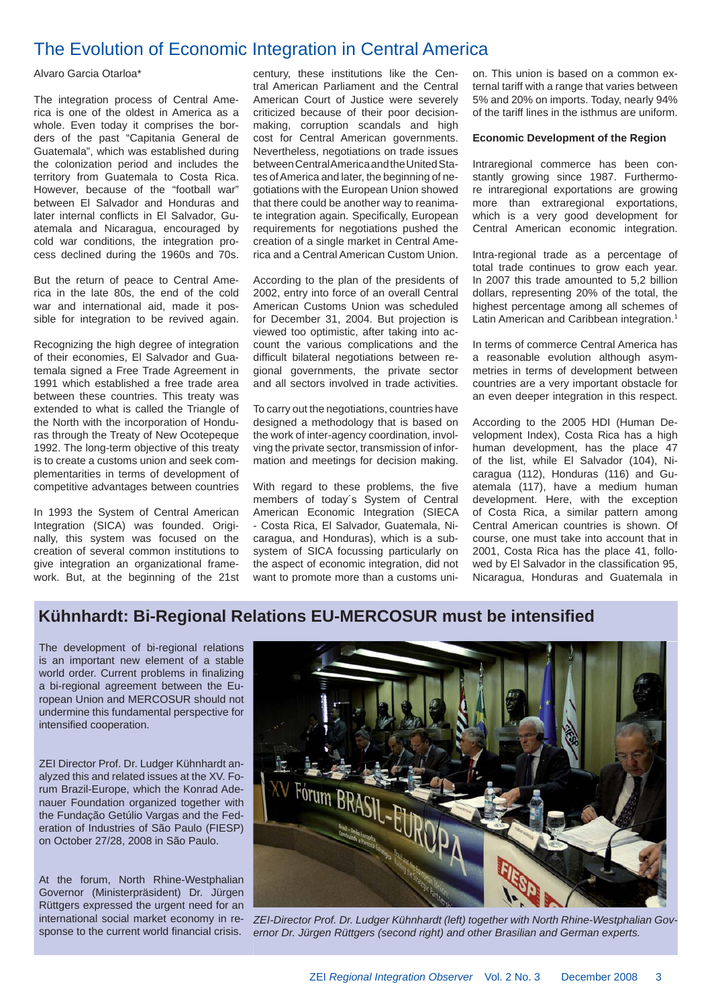## The Evolution of Economic Integration in Central America

Alvaro Garcia Otarloa\*

The integration process of Central America is one of the oldest in America as a whole. Even today it comprises the borders of the past "Capitania General de Guatemala", which was established during the colonization period and includes the territory from Guatemala to Costa Rica. However, because of the "football war" between El Salvador and Honduras and later internal conflicts in El Salvador, Guatemala and Nicaragua, encouraged by cold war conditions, the integration process declined during the 1960s and 70s.

But the return of peace to Central America in the late 80s, the end of the cold war and international aid, made it possible for integration to be revived again.

Recognizing the high degree of integration of their economies, El Salvador and Guatemala signed a Free Trade Agreement in 1991 which established a free trade area between these countries. This treaty was extended to what is called the Triangle of the North with the incorporation of Honduras through the Treaty of New Ocotepeque 1992. The long-term objective of this treaty is to create a customs union and seek complementarities in terms of development of competitive advantages between countries

In 1993 the System of Central American Integration (SICA) was founded. Originally, this system was focused on the creation of several common institutions to give integration an organizational framework. But, at the beginning of the 21st century, these institutions like the Central American Parliament and the Central American Court of Justice were severely criticized because of their poor decisionmaking, corruption scandals and high cost for Central American governments. Nevertheless, negotiations on trade issues between Central America and the United States of America and later, the beginning of negotiations with the European Union showed that there could be another way to reanimate integration again. Specifically, European requirements for negotiations pushed the creation of a single market in Central America and a Central American Custom Union.

According to the plan of the presidents of 2002, entry into force of an overall Central American Customs Union was scheduled for December 31, 2004. But projection is viewed too optimistic, after taking into account the various complications and the difficult bilateral negotiations between regional governments, the private sector and all sectors involved in trade activities.

To carry out the negotiations, countries have designed a methodology that is based on the work of inter-agency coordination, involving the private sector, transmission of information and meetings for decision making.

With regard to these problems, the five members of today´s System of Central American Economic Integration (SIECA - Costa Rica, El Salvador, Guatemala, Nicaragua, and Honduras), which is a subsystem of SICA focussing particularly on the aspect of economic integration, did not want to promote more than a customs union. This union is based on a common external tariff with a range that varies between 5% and 20% on imports. Today, nearly 94% of the tariff lines in the isthmus are uniform.

#### **Economic Development of the Region**

Intraregional commerce has been constantly growing since 1987. Furthermore intraregional exportations are growing more than extraregional exportations, which is a very good development for Central American economic integration.

Intra-regional trade as a percentage of total trade continues to grow each year. In 2007 this trade amounted to 5,2 billion dollars, representing 20% of the total, the highest percentage among all schemes of Latin American and Caribbean integration.<sup>1</sup>

In terms of commerce Central America has a reasonable evolution although asymmetries in terms of development between countries are a very important obstacle for an even deeper integration in this respect.

According to the 2005 HDI (Human Development Index), Costa Rica has a high human development, has the place 47 of the list, while El Salvador (104), Nicaragua (112), Honduras (116) and Guatemala (117), have a medium human development. Here, with the exception of Costa Rica, a similar pattern among Central American countries is shown. Of course, one must take into account that in 2001, Costa Rica has the place 41, followed by El Salvador in the classification 95, Nicaragua, Honduras and Guatemala in

## **Kühnhardt: Bi-Regional Relations EU-MERCOSUR must be intensifi ed**

The development of bi-regional relations is an important new element of a stable world order. Current problems in finalizing a bi-regional agreement between the European Union and MERCOSUR should not undermine this fundamental perspective for intensified cooperation.

ZEI Director Prof. Dr. Ludger Kühnhardt analyzed this and related issues at the XV. Forum Brazil-Europe, which the Konrad Adenauer Foundation organized together with the Fundação Getúlio Vargas and the Federation of Industries of São Paulo (FIESP) on October 27/28, 2008 in São Paulo.

At the forum, North Rhine-Westphalian Governor (Ministerpräsident) Dr. Jürgen Rüttgers expressed the urgent need for an sponse to the current world financial crisis.



international social market economy in re- ZEI-Director Prof. Dr. Ludger Kühnhardt (left) together with North Rhine-Westphalian Gov*ernor Dr. Jürgen Rüttgers (second right) and other Brasilian and German experts.*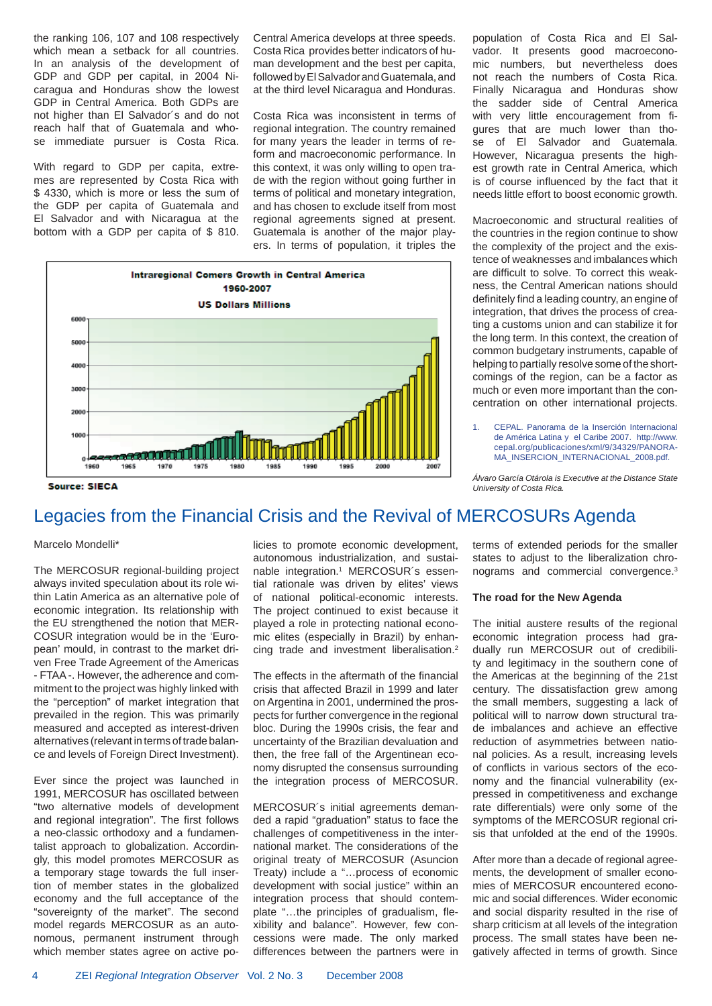the ranking 106, 107 and 108 respectively which mean a setback for all countries. In an analysis of the development of GDP and GDP per capital, in 2004 Nicaragua and Honduras show the lowest GDP in Central America. Both GDPs are not higher than El Salvador´s and do not reach half that of Guatemala and whose immediate pursuer is Costa Rica.

With regard to GDP per capita, extremes are represented by Costa Rica with \$ 4330, which is more or less the sum of the GDP per capita of Guatemala and El Salvador and with Nicaragua at the bottom with a GDP per capita of \$ 810. Central America develops at three speeds. Costa Rica provides better indicators of human development and the best per capita, followed by El Salvador and Guatemala, and at the third level Nicaragua and Honduras.

Costa Rica was inconsistent in terms of regional integration. The country remained for many years the leader in terms of reform and macroeconomic performance. In this context, it was only willing to open trade with the region without going further in terms of political and monetary integration, and has chosen to exclude itself from most regional agreements signed at present. Guatemala is another of the major players. In terms of population, it triples the



population of Costa Rica and El Salvador. It presents good macroeconomic numbers, but nevertheless does not reach the numbers of Costa Rica. Finally Nicaragua and Honduras show the sadder side of Central America with very little encouragement from figures that are much lower than those of El Salvador and Guatemala. However, Nicaragua presents the highest growth rate in Central America, which is of course influenced by the fact that it needs little effort to boost economic growth.

Macroeconomic and structural realities of the countries in the region continue to show the complexity of the project and the existence of weaknesses and imbalances which are difficult to solve. To correct this weakness, the Central American nations should definitely find a leading country, an engine of integration, that drives the process of creating a customs union and can stabilize it for the long term. In this context, the creation of common budgetary instruments, capable of helping to partially resolve some of the shortcomings of the region, can be a factor as much or even more important than the concentration on other international projects.

1. CEPAL. Panorama de la Inserción Internacional de América Latina y el Caribe 2007. http://www. cepal.org/publicaciones/xml/9/34329/PANORA-MA\_INSERCION\_INTERNACIONAL\_2008.pdf.

*Álvaro García Otárola is Executive at the Distance State University of Costa Rica.*

## Legacies from the Financial Crisis and the Revival of MERCOSURs Agenda

#### Marcelo Mondelli\*

The MERCOSUR regional-building project always invited speculation about its role within Latin America as an alternative pole of economic integration. Its relationship with the EU strengthened the notion that MER-COSUR integration would be in the 'European' mould, in contrast to the market driven Free Trade Agreement of the Americas - FTAA -. However, the adherence and commitment to the project was highly linked with the "perception" of market integration that prevailed in the region. This was primarily measured and accepted as interest-driven alternatives (relevant in terms of trade balance and levels of Foreign Direct Investment).

Ever since the project was launched in 1991, MERCOSUR has oscillated between "two alternative models of development and regional integration". The first follows a neo-classic orthodoxy and a fundamentalist approach to globalization. Accordingly, this model promotes MERCOSUR as a temporary stage towards the full insertion of member states in the globalized economy and the full acceptance of the "sovereignty of the market". The second model regards MERCOSUR as an autonomous, permanent instrument through which member states agree on active policies to promote economic development, autonomous industrialization, and sustainable integration.<sup>1</sup> MERCOSUR's essential rationale was driven by elites' views of national political-economic interests. The project continued to exist because it played a role in protecting national economic elites (especially in Brazil) by enhancing trade and investment liberalisation.2

The effects in the aftermath of the financial crisis that affected Brazil in 1999 and later on Argentina in 2001, undermined the prospects for further convergence in the regional bloc. During the 1990s crisis, the fear and uncertainty of the Brazilian devaluation and then, the free fall of the Argentinean economy disrupted the consensus surrounding the integration process of MERCOSUR.

MERCOSUR´s initial agreements demanded a rapid "graduation" status to face the challenges of competitiveness in the international market. The considerations of the original treaty of MERCOSUR (Asuncion Treaty) include a "…process of economic development with social justice" within an integration process that should contemplate "...the principles of gradualism, flexibility and balance". However, few concessions were made. The only marked differences between the partners were in terms of extended periods for the smaller states to adjust to the liberalization chronograms and commercial convergence.3

#### **The road for the New Agenda**

The initial austere results of the regional economic integration process had gradually run MERCOSUR out of credibility and legitimacy in the southern cone of the Americas at the beginning of the 21st century. The dissatisfaction grew among the small members, suggesting a lack of political will to narrow down structural trade imbalances and achieve an effective reduction of asymmetries between national policies. As a result, increasing levels of conflicts in various sectors of the economy and the financial vulnerability (expressed in competitiveness and exchange rate differentials) were only some of the symptoms of the MERCOSUR regional crisis that unfolded at the end of the 1990s.

After more than a decade of regional agreements, the development of smaller economies of MERCOSUR encountered economic and social differences. Wider economic and social disparity resulted in the rise of sharp criticism at all levels of the integration process. The small states have been negatively affected in terms of growth. Since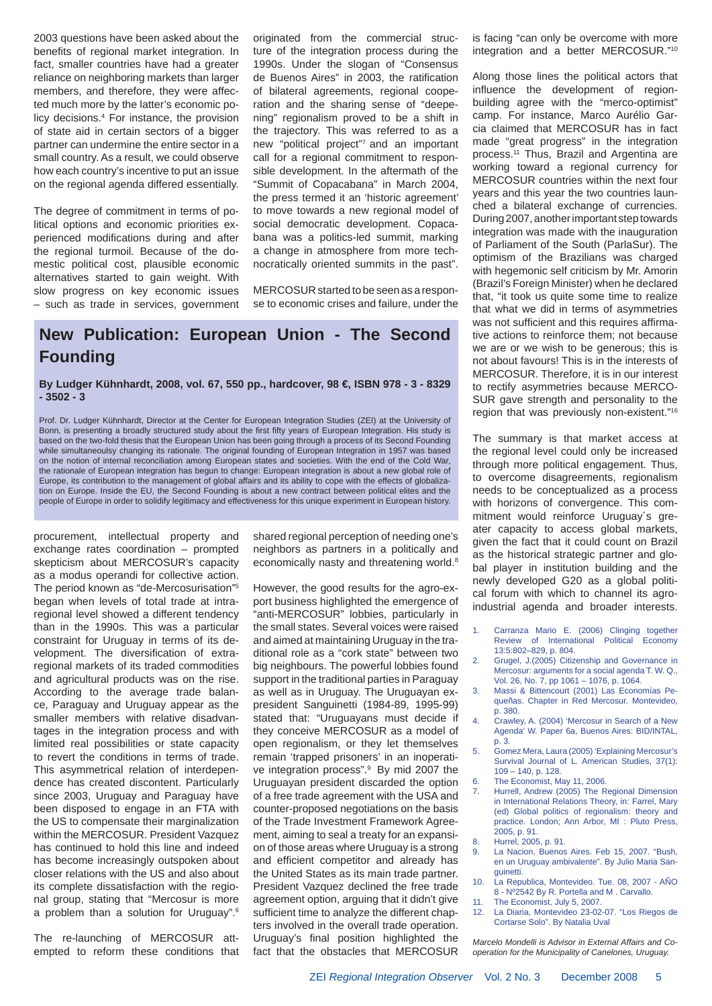2003 questions have been asked about the benefits of regional market integration. In fact, smaller countries have had a greater reliance on neighboring markets than larger members, and therefore, they were affected much more by the latter's economic policy decisions.4 For instance, the provision of state aid in certain sectors of a bigger partner can undermine the entire sector in a small country. As a result, we could observe how each country's incentive to put an issue on the regional agenda differed essentially.

The degree of commitment in terms of political options and economic priorities experienced modifications during and after the regional turmoil. Because of the domestic political cost, plausible economic alternatives started to gain weight. With slow progress on key economic issues – such as trade in services, government originated from the commercial structure of the integration process during the 1990s. Under the slogan of "Consensus de Buenos Aires" in 2003, the ratification of bilateral agreements, regional cooperation and the sharing sense of "deepening" regionalism proved to be a shift in the trajectory. This was referred to as a new "political project"7 and an important call for a regional commitment to responsible development. In the aftermath of the "Summit of Copacabana" in March 2004, the press termed it an 'historic agreement' to move towards a new regional model of social democratic development. Copacabana was a politics-led summit, marking a change in atmosphere from more technocratically oriented summits in the past".

MERCOSUR started to be seen as a response to economic crises and failure, under the

## **New Publication: European Union - The Second Founding**

**By Ludger Kühnhardt, 2008, vol. 67, 550 pp., hardcover, 98 €, ISBN 978 - 3 - 8329 - 3502 - 3**

Prof. Dr. Ludger Kühnhardt, Director at the Center for European Integration Studies (ZEI) at the University of Bonn, is presenting a broadly structured study about the first fifty years of European Integration. His study is based on the two-fold thesis that the European Union has been going through a process of its Second Founding while simultaneoulsy changing its rationale. The original founding of European Integration in 1957 was based on the notion of internal reconciliation among European states and societies. With the end of the Cold War, the rationale of European integration has begun to change: European integration is about a new global role of Europe, its contribution to the management of global affairs and its ability to cope with the effects of globalization on Europe. Inside the EU, the Second Founding is about a new contract between political elites and the people of Europe in order to solidify legitimacy and effectiveness for this unique experiment in European history.

procurement, intellectual property and exchange rates coordination – prompted skepticism about MERCOSUR's capacity as a modus operandi for collective action. The period known as "de-Mercosurisation"5 began when levels of total trade at intraregional level showed a different tendency than in the 1990s. This was a particular constraint for Uruguay in terms of its development. The diversification of extraregional markets of its traded commodities and agricultural products was on the rise. According to the average trade balance, Paraguay and Uruguay appear as the smaller members with relative disadvantages in the integration process and with limited real possibilities or state capacity to revert the conditions in terms of trade. This asymmetrical relation of interdependence has created discontent. Particularly since 2003, Uruguay and Paraguay have been disposed to engage in an FTA with the US to compensate their marginalization within the MERCOSUR. President Vazquez has continued to hold this line and indeed has become increasingly outspoken about closer relations with the US and also about its complete dissatisfaction with the regional group, stating that "Mercosur is more a problem than a solution for Uruguay".6

The re-launching of MERCOSUR attempted to reform these conditions that shared regional perception of needing one's neighbors as partners in a politically and economically nasty and threatening world.<sup>8</sup>

However, the good results for the agro-export business highlighted the emergence of "anti-MERCOSUR" lobbies, particularly in the small states. Several voices were raised and aimed at maintaining Uruguay in the traditional role as a "cork state" between two big neighbours. The powerful lobbies found support in the traditional parties in Paraguay as well as in Uruguay. The Uruguayan expresident Sanguinetti (1984-89, 1995-99) stated that: "Uruguayans must decide if they conceive MERCOSUR as a model of open regionalism, or they let themselves remain 'trapped prisoners' in an inoperative integration process".9 By mid 2007 the Uruguayan president discarded the option of a free trade agreement with the USA and counter-proposed negotiations on the basis of the Trade Investment Framework Agreement, aiming to seal a treaty for an expansion of those areas where Uruguay is a strong and efficient competitor and already has the United States as its main trade partner. President Vazquez declined the free trade agreement option, arguing that it didn't give sufficient time to analyze the different chapters involved in the overall trade operation. Uruguay's final position highlighted the fact that the obstacles that MERCOSUR

is facing "can only be overcome with more integration and a better MERCOSUR."10

Along those lines the political actors that influence the development of regionbuilding agree with the "merco-optimist" camp. For instance, Marco Aurélio Garcia claimed that MERCOSUR has in fact made "great progress" in the integration process.11 Thus, Brazil and Argentina are working toward a regional currency for MERCOSUR countries within the next four years and this year the two countries launched a bilateral exchange of currencies. During 2007, another important step towards integration was made with the inauguration of Parliament of the South (ParlaSur). The optimism of the Brazilians was charged with hegemonic self criticism by Mr. Amorin (Brazil's Foreign Minister) when he declared that, "it took us quite some time to realize that what we did in terms of asymmetries was not sufficient and this requires affirmative actions to reinforce them; not because we are or we wish to be generous; this is not about favours! This is in the interests of MERCOSUR. Therefore, it is in our interest to rectify asymmetries because MERCO-SUR gave strength and personality to the region that was previously non-existent."16

The summary is that market access at the regional level could only be increased through more political engagement. Thus, to overcome disagreements, regionalism needs to be conceptualized as a process with horizons of convergence. This commitment would reinforce Uruguay´s greater capacity to access global markets, given the fact that it could count on Brazil as the historical strategic partner and global player in institution building and the newly developed G20 as a global political forum with which to channel its agroindustrial agenda and broader interests.

- Carranza Mario E. (2006) Clinging together Review of International Political Economy 13:5:802–829, p. 804.
- Grugel, J.(2005) Citizenship and Governance in Mercosur: arguments for a social agenda T. W. Q., Vol. 26, No. 7, pp 1061 – 1076, p. 1064.
- Massi & Bittencourt (2001) Las Economías Pequeñas. Chapter in Red Mercosur. Montevideo, p. 380.
- 4. Crawley, A. (2004) 'Mercosur in Search of a New Agenda' W. Paper 6a, Buenos Aires: BID/INTAL, p. 3.
- 5. Gomez Mera, Laura (2005) 'Explaining Mercosur's Survival Journal of L. American Studies, 37(1): 109 – 140, p. 128.
- The Economist, May 11, 2006.
- 7. Hurrell, Andrew (2005) The Regional Dimension in International Relations Theory, in: Farrel, Mary (ed) Global politics of regionalism: theory and practice. London; Ann Arbor, MI : Pluto Press, 2005, p. 91.
- 8. Hurrel, 2005, p. 91.
- 9. La Nacion, Buenos Aires. Feb 15, 2007. "Bush, en un Uruguay ambivalente". By Julio Maria Sanguinetti.
- 10. La Republica, Montevideo. Tue. 08, 2007 AÑO 8 - Nº2542 By R. Portella and M . Carvallo.
	- 11. The Economist, July 5, 2007.
	- 12. La Diaria, Montevideo 23-02-07. "Los Riegos de Cortarse Solo". By Natalia Uval

*Marcelo Mondelli is Advisor in External Affairs and Cooperation for the Municipality of Canelones, Uruguay.*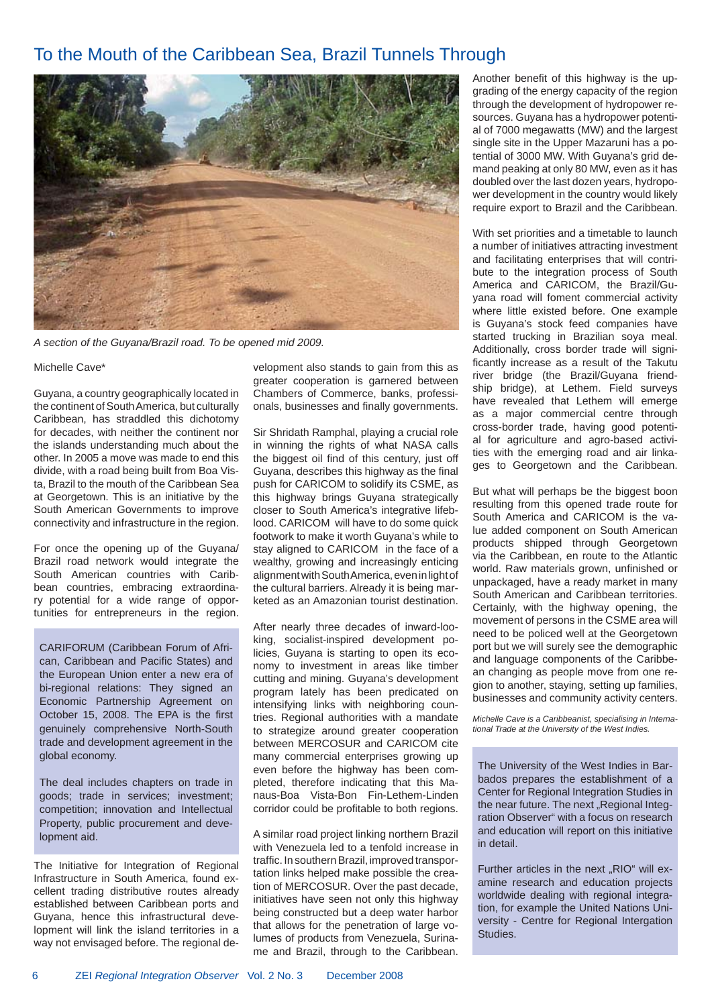## To the Mouth of the Caribbean Sea, Brazil Tunnels Through



*A section of the Guyana/Brazil road. To be opened mid 2009.*

#### Michelle Cave\*

Guyana, a country geographically located in the continent of South America, but culturally Caribbean, has straddled this dichotomy for decades, with neither the continent nor the islands understanding much about the other. In 2005 a move was made to end this divide, with a road being built from Boa Vista, Brazil to the mouth of the Caribbean Sea at Georgetown. This is an initiative by the South American Governments to improve connectivity and infrastructure in the region.

For once the opening up of the Guyana/ Brazil road network would integrate the South American countries with Caribbean countries, embracing extraordinary potential for a wide range of opportunities for entrepreneurs in the region.

CARIFORUM (Caribbean Forum of African, Caribbean and Pacific States) and the European Union enter a new era of bi-regional relations: They signed an Economic Partnership Agreement on October 15, 2008. The EPA is the first genuinely comprehensive North-South trade and development agreement in the global economy.

The deal includes chapters on trade in goods; trade in services; investment; competition; innovation and Intellectual Property, public procurement and development aid.

The Initiative for Integration of Regional Infrastructure in South America, found excellent trading distributive routes already established between Caribbean ports and Guyana, hence this infrastructural development will link the island territories in a way not envisaged before. The regional development also stands to gain from this as greater cooperation is garnered between Chambers of Commerce, banks, professionals, businesses and finally governments.

Sir Shridath Ramphal, playing a crucial role in winning the rights of what NASA calls the biggest oil find of this century, just off Guyana, describes this highway as the final push for CARICOM to solidify its CSME, as this highway brings Guyana strategically closer to South America's integrative lifeblood. CARICOM will have to do some quick footwork to make it worth Guyana's while to stay aligned to CARICOM in the face of a wealthy, growing and increasingly enticing alignment with South America, even in light of the cultural barriers. Already it is being marketed as an Amazonian tourist destination.

After nearly three decades of inward-looking, socialist-inspired development policies, Guyana is starting to open its economy to investment in areas like timber cutting and mining. Guyana's development program lately has been predicated on intensifying links with neighboring countries. Regional authorities with a mandate to strategize around greater cooperation between MERCOSUR and CARICOM cite many commercial enterprises growing up even before the highway has been completed, therefore indicating that this Manaus-Boa Vista-Bon Fin-Lethem-Linden corridor could be profitable to both regions.

A similar road project linking northern Brazil with Venezuela led to a tenfold increase in traffic. In southern Brazil, improved transportation links helped make possible the creation of MERCOSUR. Over the past decade, initiatives have seen not only this highway being constructed but a deep water harbor that allows for the penetration of large volumes of products from Venezuela, Suriname and Brazil, through to the Caribbean. Another benefit of this highway is the upgrading of the energy capacity of the region through the development of hydropower resources. Guyana has a hydropower potential of 7000 megawatts (MW) and the largest single site in the Upper Mazaruni has a potential of 3000 MW. With Guyana's grid demand peaking at only 80 MW, even as it has doubled over the last dozen years, hydropower development in the country would likely require export to Brazil and the Caribbean.

With set priorities and a timetable to launch a number of initiatives attracting investment and facilitating enterprises that will contribute to the integration process of South America and CARICOM, the Brazil/Guyana road will foment commercial activity where little existed before. One example is Guyana's stock feed companies have started trucking in Brazilian soya meal. Additionally, cross border trade will significantly increase as a result of the Takutu river bridge (the Brazil/Guyana friendship bridge), at Lethem. Field surveys have revealed that Lethem will emerge as a major commercial centre through cross-border trade, having good potential for agriculture and agro-based activities with the emerging road and air linkages to Georgetown and the Caribbean.

But what will perhaps be the biggest boon resulting from this opened trade route for South America and CARICOM is the value added component on South American products shipped through Georgetown via the Caribbean, en route to the Atlantic world. Raw materials grown, unfinished or unpackaged, have a ready market in many South American and Caribbean territories. Certainly, with the highway opening, the movement of persons in the CSME area will need to be policed well at the Georgetown port but we will surely see the demographic and language components of the Caribbean changing as people move from one region to another, staying, setting up families, businesses and community activity centers.

*Michelle Cave is a Caribbeanist, specialising in International Trade at the University of the West Indies.*

The University of the West Indies in Barbados prepares the establishment of a Center for Regional Integration Studies in the near future. The next "Regional Integration Observer" with a focus on research and education will report on this initiative in detail.

Further articles in the next "RIO" will examine research and education projects worldwide dealing with regional integration, for example the United Nations University - Centre for Regional Intergation Studies.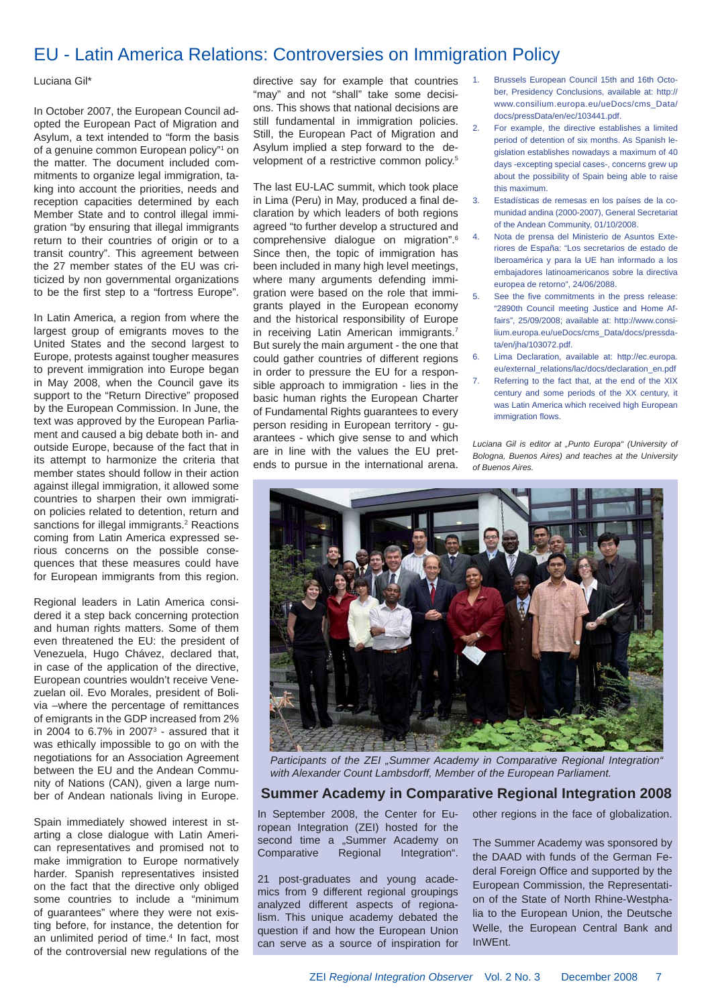## EU - Latin America Relations: Controversies on Immigration Policy

#### Luciana Gil\*

In October 2007, the European Council adopted the European Pact of Migration and Asylum, a text intended to "form the basis of a genuine common European policy"<sup>1</sup> on the matter. The document included commitments to organize legal immigration, taking into account the priorities, needs and reception capacities determined by each Member State and to control illegal immigration "by ensuring that illegal immigrants return to their countries of origin or to a transit country". This agreement between the 27 member states of the EU was criticized by non governmental organizations to be the first step to a "fortress Europe".

In Latin America, a region from where the largest group of emigrants moves to the United States and the second largest to Europe, protests against tougher measures to prevent immigration into Europe began in May 2008, when the Council gave its support to the "Return Directive" proposed by the European Commission. In June, the text was approved by the European Parliament and caused a big debate both in- and outside Europe, because of the fact that in its attempt to harmonize the criteria that member states should follow in their action against illegal immigration, it allowed some countries to sharpen their own immigration policies related to detention, return and sanctions for illegal immigrants.<sup>2</sup> Reactions coming from Latin America expressed serious concerns on the possible consequences that these measures could have for European immigrants from this region.

Regional leaders in Latin America considered it a step back concerning protection and human rights matters. Some of them even threatened the EU: the president of Venezuela, Hugo Chávez, declared that, in case of the application of the directive, European countries wouldn't receive Venezuelan oil. Evo Morales, president of Bolivia –where the percentage of remittances of emigrants in the GDP increased from 2% in 2004 to 6.7% in 2007 $3$  - assured that it was ethically impossible to go on with the negotiations for an Association Agreement between the EU and the Andean Community of Nations (CAN), given a large number of Andean nationals living in Europe.

Spain immediately showed interest in starting a close dialogue with Latin American representatives and promised not to make immigration to Europe normatively harder. Spanish representatives insisted on the fact that the directive only obliged some countries to include a "minimum of guarantees" where they were not existing before, for instance, the detention for an unlimited period of time.4 In fact, most of the controversial new regulations of the

directive say for example that countries "may" and not "shall" take some decisions. This shows that national decisions are still fundamental in immigration policies. Still, the European Pact of Migration and Asylum implied a step forward to the development of a restrictive common policy.<sup>5</sup>

The last EU-LAC summit, which took place in Lima (Peru) in May, produced a final declaration by which leaders of both regions agreed "to further develop a structured and comprehensive dialogue on migration".6 Since then, the topic of immigration has been included in many high level meetings, where many arguments defending immigration were based on the role that immigrants played in the European economy and the historical responsibility of Europe in receiving Latin American immigrants.<sup>7</sup> But surely the main argument - the one that could gather countries of different regions in order to pressure the EU for a responsible approach to immigration - lies in the basic human rights the European Charter of Fundamental Rights guarantees to every person residing in European territory - guarantees - which give sense to and which are in line with the values the EU pretends to pursue in the international arena.

- 1. Brussels European Council 15th and 16th October, Presidency Conclusions, available at: http:// www.consilium.europa.eu/ueDocs/cms\_Data/ docs/pressData/en/ec/103441.pdf.
- 2. For example, the directive establishes a limited period of detention of six months. As Spanish legislation establishes nowadays a maximum of 40 days -excepting special cases-, concerns grew up about the possibility of Spain being able to raise this maximum.
- 3. Estadísticas de remesas en los países de la comunidad andina (2000-2007), General Secretariat of the Andean Community, 01/10/2008.
- 4. Nota de prensa del Ministerio de Asuntos Exteriores de España: "Los secretarios de estado de Iberoamérica y para la UE han informado a los embajadores latinoamericanos sobre la directiva europea de retorno", 24/06/2088.
- 5. See the five commitments in the press release: "2890th Council meeting Justice and Home Affairs", 25/09/2008; available at: http://www.consilium.europa.eu/ueDocs/cms\_Data/docs/pressdata/en/jha/103072.pdf.
- 6. Lima Declaration, available at: http://ec.europa. eu/external\_relations/lac/docs/declaration\_en.pdf 7. Referring to the fact that, at the end of the XIX century and some periods of the XX century, it was Latin America which received high European immigration flows

*Luciana Gil is editor at "Punto Europa" (University of Bologna, Buenos Aires) and teaches at the University of Buenos Aires.*



Participants of the ZEI "Summer Academy in Comparative Regional Integration" *with Alexander Count Lambsdorff, Member of the European Parliament.*

#### **Summer Academy in Comparative Regional Integration 2008**

In September 2008, the Center for European Integration (ZEI) hosted for the second time a "Summer Academy on Comparative Regional Integration".

21 post-graduates and young academics from 9 different regional groupings analyzed different aspects of regionalism. This unique academy debated the question if and how the European Union can serve as a source of inspiration for other regions in the face of globalization.

The Summer Academy was sponsored by the DAAD with funds of the German Federal Foreign Office and supported by the European Commission, the Representation of the State of North Rhine-Westphalia to the European Union, the Deutsche Welle, the European Central Bank and InWEnt.